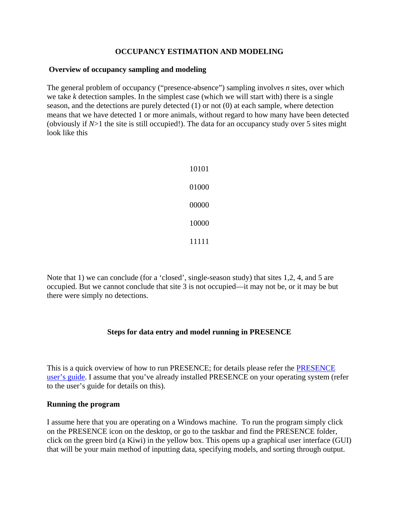# **OCCUPANCY ESTIMATION AND MODELING**

### **Overview of occupancy sampling and modeling**

The general problem of occupancy ("presence-absence") sampling involves *n* sites, over which we take *k* detection samples. In the simplest case (which we will start with) there is a single season, and the detections are purely detected (1) or not (0) at each sample, where detection means that we have detected 1 or more animals, without regard to how many have been detected (obviously if *N*>1 the site is still occupied!). The data for an occupancy study over 5 sites might look like this

| 10101 |
|-------|
| 01000 |
| 00000 |
| 10000 |
| 11111 |

Note that 1) we can conclude (for a 'closed', single-season study) that sites 1,2, 4, and 5 are occupied. But we cannot conclude that site 3 is not occupied—it may not be, or it may be but there were simply no detections.

# **Steps for data entry and model running in PRESENCE**

This is a quick overview of how to run PRESENCE; for details please refer the [PRESENCE](http://www.mbr-pwrc.usgs.gov/software/doc/presence/presence.html)  [user's guide.](http://www.mbr-pwrc.usgs.gov/software/doc/presence/presence.html) I assume that you've already installed PRESENCE on your operating system (refer to the user's guide for details on this).

#### **Running the program**

I assume here that you are operating on a Windows machine. To run the program simply click on the PRESENCE icon on the desktop, or go to the taskbar and find the PRESENCE folder, click on the green bird (a Kiwi) in the yellow box. This opens up a graphical user interface (GUI) that will be your main method of inputting data, specifying models, and sorting through output.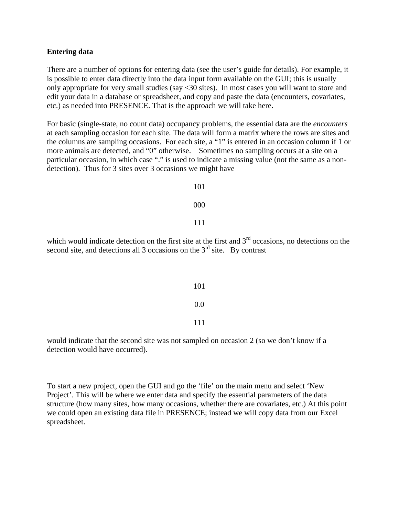#### **Entering data**

There are a number of options for entering data (see the user's guide for details). For example, it is possible to enter data directly into the data input form available on the GUI; this is usually only appropriate for very small studies (say <30 sites). In most cases you will want to store and edit your data in a database or spreadsheet, and copy and paste the data (encounters, covariates, etc.) as needed into PRESENCE. That is the approach we will take here.

For basic (single-state, no count data) occupancy problems, the essential data are the *encounters* at each sampling occasion for each site. The data will form a matrix where the rows are sites and the columns are sampling occasions. For each site, a "1" is entered in an occasion column if 1 or more animals are detected, and "0" otherwise. Sometimes no sampling occurs at a site on a particular occasion, in which case "." is used to indicate a missing value (not the same as a nondetection). Thus for 3 sites over 3 occasions we might have

101

000

111

which would indicate detection on the first site at the first and  $3<sup>rd</sup>$  occasions, no detections on the second site, and detections all 3 occasions on the  $3<sup>rd</sup>$  site. By contrast

| 101  |
|------|
| 0.0  |
| -111 |

would indicate that the second site was not sampled on occasion 2 (so we don't know if a detection would have occurred).

To start a new project, open the GUI and go the 'file' on the main menu and select 'New Project'. This will be where we enter data and specify the essential parameters of the data structure (how many sites, how many occasions, whether there are covariates, etc.) At this point we could open an existing data file in PRESENCE; instead we will copy data from our Excel spreadsheet.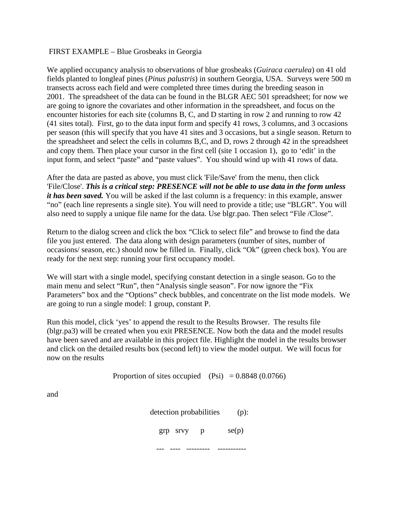# FIRST EXAMPLE – Blue Grosbeaks in Georgia

We applied occupancy analysis to observations of blue grosbeaks (*Guiraca caerulea*) on 41 old fields planted to longleaf pines (*Pinus palustris*) in southern Georgia, USA. Surveys were 500 m transects across each field and were completed three times during the breeding season in 2001. The spreadsheet of the data can be found in the BLGR AEC 501 spreadsheet; for now we are going to ignore the covariates and other information in the spreadsheet, and focus on the encounter histories for each site (columns B, C, and D starting in row 2 and running to row 42 (41 sites total). First, go to the data input form and specify 41 rows, 3 columns, and 3 occasions per season (this will specify that you have 41 sites and 3 occasions, but a single season. Return to the spreadsheet and select the cells in columns B,C, and D, rows 2 through 42 in the spreadsheet and copy them. Then place your cursor in the first cell (site 1 occasion 1), go to 'edit' in the input form, and select "paste" and "paste values". You should wind up with 41 rows of data.

After the data are pasted as above, you must click 'File/Save' from the menu, then click 'File/Close'. *This is a critical step: PRESENCE will not be able to use data in the form unless it has been saved.* You will be asked if the last column is a frequency: in this example, answer "no" (each line represents a single site). You will need to provide a title; use "BLGR". You will also need to supply a unique file name for the data. Use blgr.pao. Then select "File /Close".

Return to the dialog screen and click the box "Click to select file" and browse to find the data file you just entered. The data along with design parameters (number of sites, number of occasions/ season, etc.) should now be filled in. Finally, click "Ok" (green check box). You are ready for the next step: running your first occupancy model.

We will start with a single model, specifying constant detection in a single season. Go to the main menu and select "Run", then "Analysis single season". For now ignore the "Fix Parameters" box and the "Options" check bubbles, and concentrate on the list mode models. We are going to run a single model: 1 group, constant P.

Run this model, click 'yes' to append the result to the Results Browser. The results file (blgr.pa3) will be created when you exit PRESENCE. Now both the data and the model results have been saved and are available in this project file. Highlight the model in the results browser and click on the detailed results box (second left) to view the model output. We will focus for now on the results

Proportion of sites occupied  $(Psi) = 0.8848 (0.0766)$ 

and

detection probabilities (p):

grp srvy  $p$  se(p)

--- ---- --------- -----------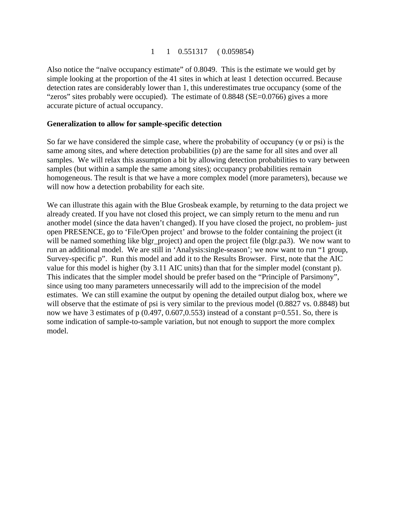### 1 1 0.551317 ( 0.059854)

Also notice the "naïve occupancy estimate" of 0.8049. This is the estimate we would get by simple looking at the proportion of the 41 sites in which at least 1 detection occurred. Because detection rates are considerably lower than 1, this underestimates true occupancy (some of the "zeros" sites probably were occupied). The estimate of 0.8848 (SE=0.0766) gives a more accurate picture of actual occupancy.

### **Generalization to allow for sample-specific detection**

So far we have considered the simple case, where the probability of occupancy (ψ or psi) is the same among sites, and where detection probabilities (p) are the same for all sites and over all samples. We will relax this assumption a bit by allowing detection probabilities to vary between samples (but within a sample the same among sites); occupancy probabilities remain homogeneous. The result is that we have a more complex model (more parameters), because we will now how a detection probability for each site.

We can illustrate this again with the Blue Grosbeak example, by returning to the data project we already created. If you have not closed this project, we can simply return to the menu and run another model (since the data haven't changed). If you have closed the project, no problem- just open PRESENCE, go to 'File/Open project' and browse to the folder containing the project (it will be named something like blgr\_project) and open the project file (blgr.pa3). We now want to run an additional model. We are still in 'Analysis:single-season'; we now want to run "1 group, Survey-specific p". Run this model and add it to the Results Browser. First, note that the AIC value for this model is higher (by 3.11 AIC units) than that for the simpler model (constant p). This indicates that the simpler model should be prefer based on the "Principle of Parsimony", since using too many parameters unnecessarily will add to the imprecision of the model estimates. We can still examine the output by opening the detailed output dialog box, where we will observe that the estimate of psi is very similar to the previous model (0.8827 vs. 0.8848) but now we have 3 estimates of p  $(0.497, 0.607, 0.553)$  instead of a constant p=0.551. So, there is some indication of sample-to-sample variation, but not enough to support the more complex model.